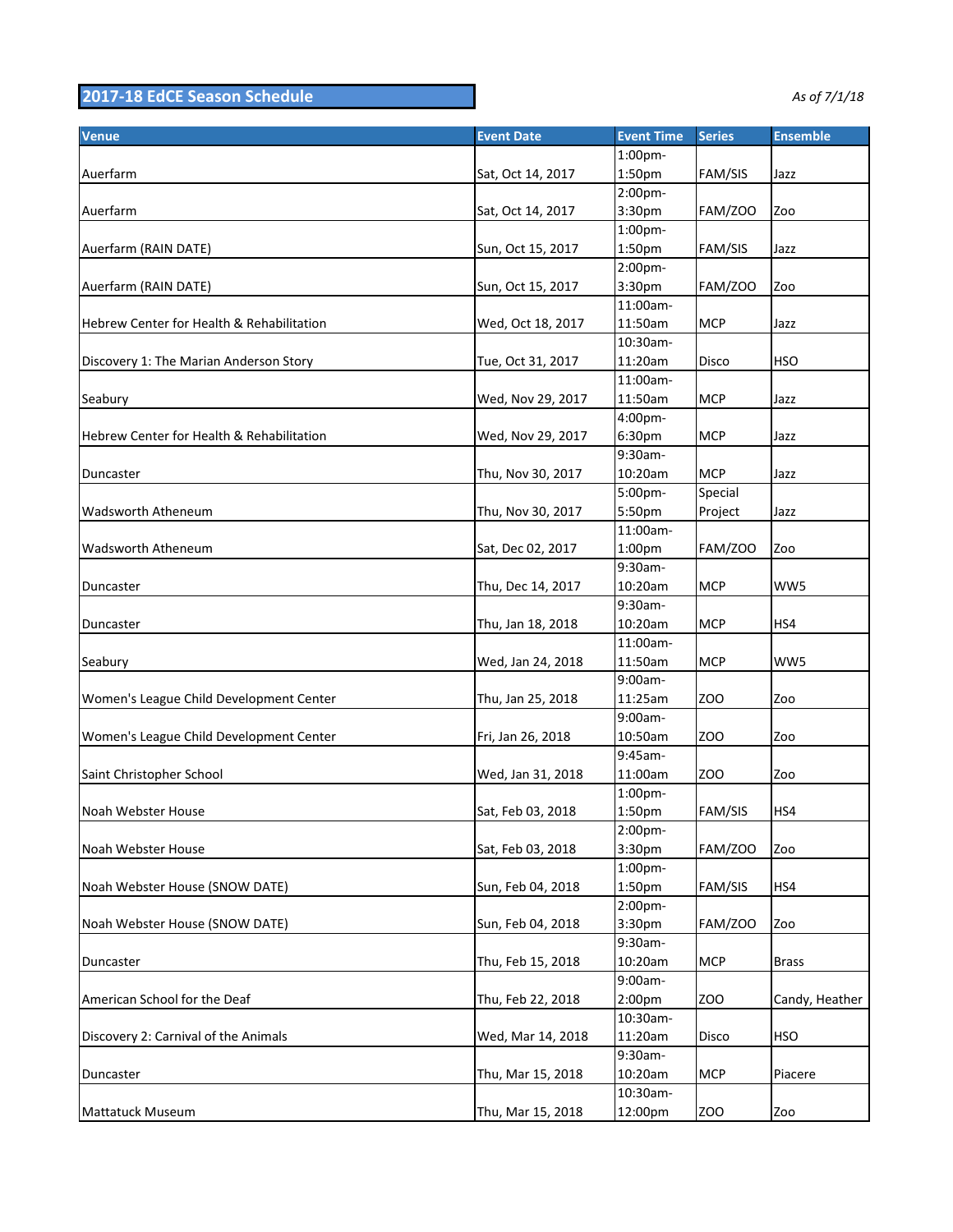## **2017-18 EdCE Season Schedule** *As of 7/1/18*

| Venue                                     | <b>Event Date</b> | <b>Event Time</b>   | <b>Series</b>   | <b>Ensemble</b> |
|-------------------------------------------|-------------------|---------------------|-----------------|-----------------|
|                                           |                   | 1:00pm-             |                 |                 |
| Auerfarm                                  | Sat, Oct 14, 2017 | 1:50pm              | FAM/SIS         | Jazz            |
|                                           |                   | 2:00pm-             |                 |                 |
| Auerfarm                                  | Sat, Oct 14, 2017 | 3:30pm              | <b>FAM/ZOO</b>  | Zoo             |
|                                           |                   | $1:00$ pm-          |                 |                 |
| Auerfarm (RAIN DATE)                      | Sun, Oct 15, 2017 | 1:50pm              | FAM/SIS         | Jazz            |
|                                           |                   | 2:00pm-             |                 |                 |
| Auerfarm (RAIN DATE)                      | Sun, Oct 15, 2017 | 3:30pm              | FAM/ZOO         | Zoo             |
|                                           |                   | 11:00am-            | <b>MCP</b>      |                 |
| Hebrew Center for Health & Rehabilitation | Wed, Oct 18, 2017 | 11:50am<br>10:30am- |                 | Jazz            |
| Discovery 1: The Marian Anderson Story    |                   |                     |                 |                 |
|                                           | Tue, Oct 31, 2017 | 11:20am<br>11:00am- | <b>Disco</b>    | <b>HSO</b>      |
|                                           |                   |                     |                 |                 |
| Seabury                                   | Wed, Nov 29, 2017 | 11:50am             | <b>MCP</b>      | Jazz            |
|                                           |                   | 4:00pm-             |                 |                 |
| Hebrew Center for Health & Rehabilitation | Wed, Nov 29, 2017 | 6:30pm              | <b>MCP</b>      | Jazz            |
|                                           |                   | 9:30am-             |                 |                 |
| Duncaster                                 | Thu, Nov 30, 2017 | 10:20am             | <b>MCP</b>      | Jazz            |
|                                           |                   | 5:00pm-             | Special         |                 |
| Wadsworth Atheneum                        | Thu, Nov 30, 2017 | 5:50pm              | Project         | Jazz            |
|                                           |                   | 11:00am-            |                 |                 |
| Wadsworth Atheneum                        | Sat, Dec 02, 2017 | 1:00pm              | FAM/ZOO         | Zoo             |
|                                           |                   | 9:30am-             |                 |                 |
| Duncaster                                 | Thu, Dec 14, 2017 | 10:20am             | <b>MCP</b>      | WW5             |
|                                           |                   | 9:30am-             |                 |                 |
| Duncaster                                 | Thu, Jan 18, 2018 | 10:20am             | <b>MCP</b>      | HS4             |
|                                           |                   | 11:00am-            |                 |                 |
| Seabury                                   | Wed, Jan 24, 2018 | 11:50am             | <b>MCP</b>      | WW5             |
|                                           |                   | 9:00am-             |                 |                 |
| Women's League Child Development Center   | Thu, Jan 25, 2018 | 11:25am             | ZO <sub>O</sub> | Zoo             |
|                                           |                   | 9:00am-             |                 |                 |
| Women's League Child Development Center   | Fri, Jan 26, 2018 | 10:50am             | <b>ZOO</b>      | Zoo             |
|                                           |                   | 9:45am-             |                 |                 |
| Saint Christopher School                  | Wed, Jan 31, 2018 | 11:00am             | ZO <sub>O</sub> | Zoo             |
|                                           |                   | 1:00pm-             |                 |                 |
| Noah Webster House                        | Sat, Feb 03, 2018 | 1:50pm              | FAM/SIS         | HS4             |
|                                           |                   | 2:00pm-             |                 |                 |
| Noah Webster House                        | Sat, Feb 03, 2018 | 3:30pm              | FAM/ZOO         | Zoo             |
|                                           |                   | 1:00pm-             |                 |                 |
| Noah Webster House (SNOW DATE)            | Sun, Feb 04, 2018 | 1:50pm              | FAM/SIS         | HS4             |
|                                           |                   | 2:00pm-             |                 |                 |
| Noah Webster House (SNOW DATE)            | Sun, Feb 04, 2018 | 3:30pm              | FAM/ZOO         | Zoo             |
|                                           |                   | 9:30am-             |                 |                 |
| Duncaster                                 | Thu, Feb 15, 2018 | 10:20am             | <b>MCP</b>      | <b>Brass</b>    |
|                                           |                   | 9:00am-             |                 |                 |
| American School for the Deaf              | Thu, Feb 22, 2018 | 2:00pm              | ZOO             | Candy, Heather  |
|                                           |                   | 10:30am-            |                 |                 |
| Discovery 2: Carnival of the Animals      | Wed, Mar 14, 2018 | 11:20am             | Disco           | <b>HSO</b>      |
|                                           |                   | 9:30am-             |                 |                 |
| Duncaster                                 | Thu, Mar 15, 2018 | 10:20am             | <b>MCP</b>      | Piacere         |
|                                           |                   | 10:30am-            |                 |                 |
| Mattatuck Museum                          | Thu, Mar 15, 2018 | 12:00pm             | ZOO             | Zoo             |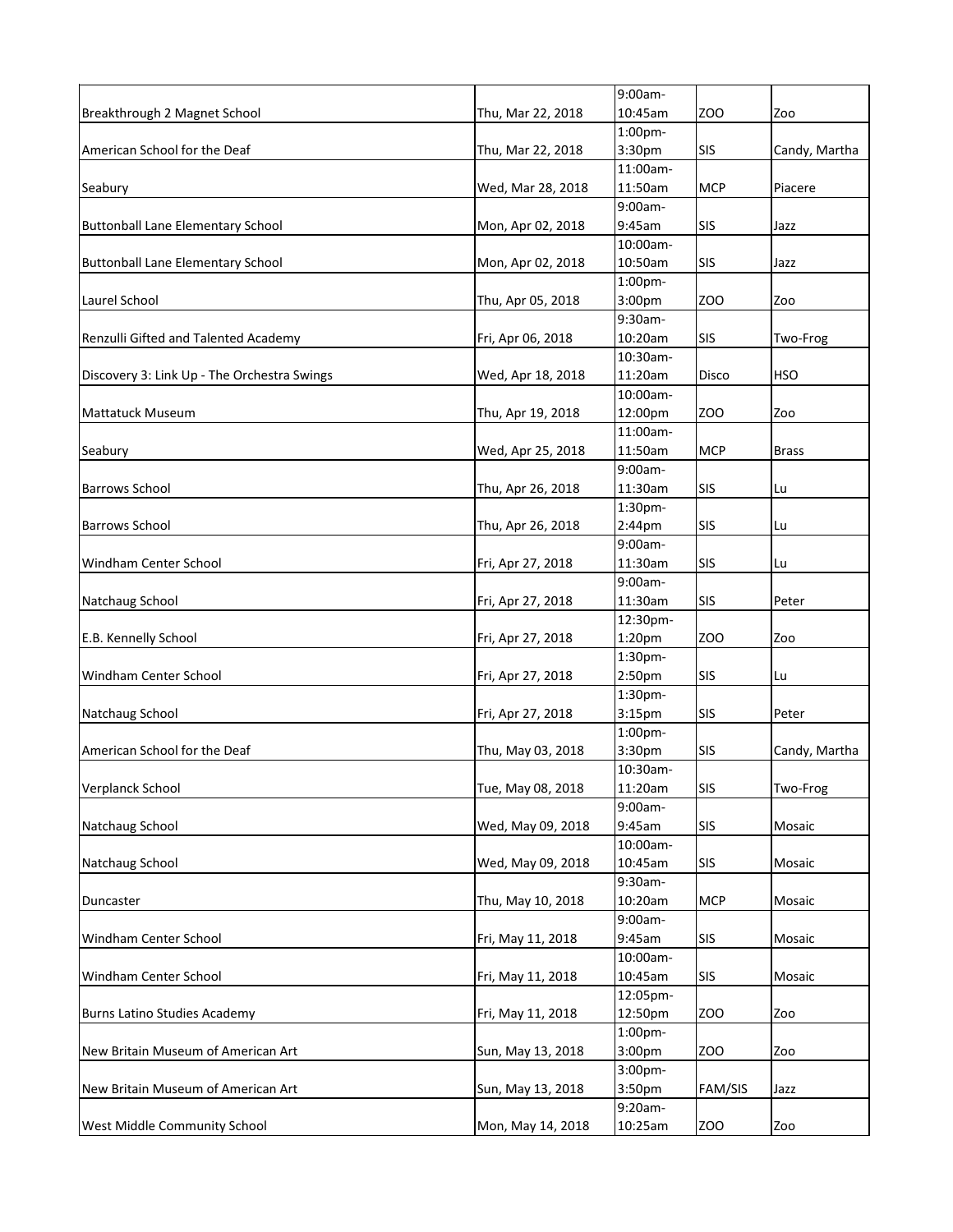|                                             |                   | 9:00am-            |            |               |
|---------------------------------------------|-------------------|--------------------|------------|---------------|
| Breakthrough 2 Magnet School                | Thu, Mar 22, 2018 | 10:45am            | zoo        | Zoo           |
|                                             |                   | 1:00pm-            |            |               |
| American School for the Deaf                | Thu, Mar 22, 2018 | 3:30pm             | <b>SIS</b> | Candy, Martha |
|                                             |                   | 11:00am-           |            |               |
| Seabury                                     | Wed, Mar 28, 2018 | 11:50am            | <b>MCP</b> | Piacere       |
|                                             |                   | 9:00am-            |            |               |
| <b>Buttonball Lane Elementary School</b>    | Mon, Apr 02, 2018 | 9:45am             | <b>SIS</b> | Jazz          |
|                                             |                   | 10:00am-           |            |               |
| <b>Buttonball Lane Elementary School</b>    | Mon, Apr 02, 2018 | 10:50am            | SIS        | Jazz          |
|                                             |                   | 1:00 <sub>pm</sub> |            |               |
| Laurel School                               | Thu, Apr 05, 2018 | 3:00 <sub>pm</sub> | ZOO        | Zoo           |
|                                             |                   | 9:30am-            |            |               |
| Renzulli Gifted and Talented Academy        | Fri, Apr 06, 2018 | 10:20am            | <b>SIS</b> | Two-Frog      |
|                                             |                   | 10:30am-           |            |               |
| Discovery 3: Link Up - The Orchestra Swings | Wed, Apr 18, 2018 | 11:20am            | Disco      | HSO           |
|                                             |                   | 10:00am-           |            |               |
| <b>Mattatuck Museum</b>                     | Thu, Apr 19, 2018 | 12:00pm            | ZOO        | Zoo           |
|                                             |                   | 11:00am-           |            |               |
| Seabury                                     | Wed, Apr 25, 2018 | 11:50am            | <b>MCP</b> | Brass         |
|                                             |                   | 9:00am-            |            |               |
| <b>Barrows School</b>                       | Thu, Apr 26, 2018 | 11:30am            | <b>SIS</b> | Lu            |
|                                             |                   | 1:30pm-            |            |               |
| <b>Barrows School</b>                       | Thu, Apr 26, 2018 | $2:44$ pm          | <b>SIS</b> | Lu            |
|                                             |                   | 9:00am-            |            |               |
| <b>Windham Center School</b>                | Fri, Apr 27, 2018 | 11:30am            | <b>SIS</b> | Lu            |
|                                             |                   | 9:00am-            |            |               |
| Natchaug School                             | Fri, Apr 27, 2018 | 11:30am            | <b>SIS</b> | Peter         |
|                                             |                   | 12:30pm-           |            |               |
| E.B. Kennelly School                        | Fri, Apr 27, 2018 | 1:20pm             | zoo        | Zoo           |
|                                             |                   | 1:30pm-            |            |               |
| Windham Center School                       | Fri, Apr 27, 2018 | 2:50 <sub>pm</sub> | SIS        | Lu            |
|                                             |                   | 1:30pm-            |            |               |
| Natchaug School                             | Fri, Apr 27, 2018 | 3:15pm             | SIS        | Peter         |
|                                             |                   | 1:00pm-            |            |               |
| American School for the Deaf                | Thu, May 03, 2018 | 3:30pm             | SIS        | Candy, Martha |
|                                             |                   | 10:30am-           |            |               |
| Verplanck School                            | Tue, May 08, 2018 | 11:20am            | SIS        | Two-Frog      |
|                                             |                   | 9:00am-            |            |               |
| Natchaug School                             | Wed, May 09, 2018 | 9:45am             | <b>SIS</b> | Mosaic        |
|                                             |                   | 10:00am-           |            |               |
| Natchaug School                             | Wed, May 09, 2018 | 10:45am            | <b>SIS</b> | Mosaic        |
|                                             |                   | 9:30am-            |            |               |
|                                             | Thu, May 10, 2018 | 10:20am            | <b>MCP</b> | Mosaic        |
| Duncaster                                   |                   | 9:00am-            |            |               |
| Windham Center School                       | Fri, May 11, 2018 | 9:45am             | <b>SIS</b> | Mosaic        |
|                                             |                   | 10:00am-           |            |               |
|                                             | Fri, May 11, 2018 | 10:45am            | <b>SIS</b> | Mosaic        |
| Windham Center School                       |                   | 12:05pm-           |            |               |
| Burns Latino Studies Academy                | Fri, May 11, 2018 | 12:50pm            | <b>ZOO</b> | Zoo           |
|                                             |                   | 1:00pm-            |            |               |
|                                             | Sun, May 13, 2018 | 3:00pm             | <b>ZOO</b> | Zoo           |
| New Britain Museum of American Art          |                   | 3:00pm-            |            |               |
| New Britain Museum of American Art          |                   | 3:50pm             | FAM/SIS    | Jazz          |
|                                             | Sun, May 13, 2018 | 9:20am-            |            |               |
| West Middle Community School                |                   | 10:25am            |            |               |
|                                             | Mon, May 14, 2018 |                    | ZOO        | Zoo           |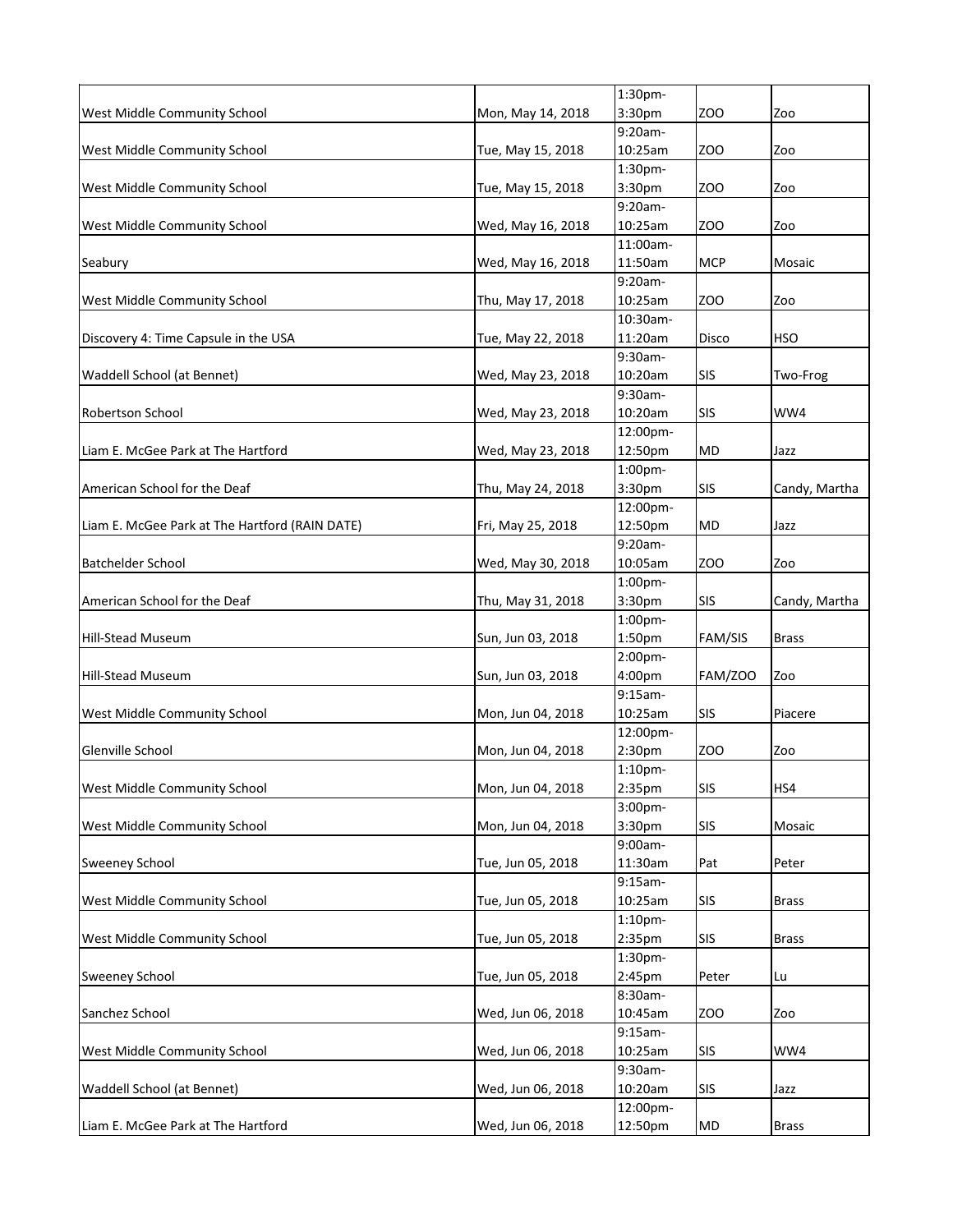|                                                |                   | 1:30pm-            |                |               |
|------------------------------------------------|-------------------|--------------------|----------------|---------------|
| West Middle Community School                   | Mon, May 14, 2018 | 3:30pm             | ZOO            | Zoo           |
|                                                |                   | $9:20am -$         |                |               |
| West Middle Community School                   | Tue, May 15, 2018 | 10:25am            | ZOO            | Zoo           |
|                                                |                   | 1:30 <sub>pm</sub> |                |               |
| West Middle Community School                   | Tue, May 15, 2018 | 3:30pm             | ZOO            | Zoo           |
|                                                |                   | 9:20am-            |                |               |
| West Middle Community School                   | Wed, May 16, 2018 | 10:25am            | ZOO            | Zoo           |
|                                                |                   | 11:00am-           |                |               |
| Seabury                                        | Wed, May 16, 2018 | 11:50am            | <b>MCP</b>     | Mosaic        |
|                                                |                   | 9:20am-            |                |               |
| West Middle Community School                   | Thu, May 17, 2018 | 10:25am            | ZOO            | Zoo           |
|                                                |                   | 10:30am-           |                |               |
| Discovery 4: Time Capsule in the USA           | Tue, May 22, 2018 | 11:20am            | Disco          | HSO           |
|                                                |                   | 9:30am-            |                |               |
| Waddell School (at Bennet)                     | Wed, May 23, 2018 | 10:20am            | <b>SIS</b>     | Two-Frog      |
|                                                |                   | 9:30am-            |                |               |
| <b>Robertson School</b>                        | Wed, May 23, 2018 | 10:20am            | <b>SIS</b>     | WW4           |
|                                                |                   | 12:00pm-           |                |               |
| Liam E. McGee Park at The Hartford             |                   |                    |                |               |
|                                                | Wed, May 23, 2018 | 12:50pm            | MD             | Jazz          |
|                                                |                   | 1:00pm-            |                |               |
| American School for the Deaf                   | Thu, May 24, 2018 | 3:30pm             | <b>SIS</b>     | Candy, Martha |
|                                                |                   | 12:00pm-           |                |               |
| Liam E. McGee Park at The Hartford (RAIN DATE) | Fri, May 25, 2018 | 12:50pm            | MD             | Jazz          |
|                                                |                   | 9:20am-            |                |               |
| <b>Batchelder School</b>                       | Wed, May 30, 2018 | 10:05am            | ZOO            | Zoo           |
|                                                |                   | 1:00pm-            |                |               |
| American School for the Deaf                   | Thu, May 31, 2018 | 3:30pm             | SIS            | Candy, Martha |
|                                                |                   | 1:00pm-            |                |               |
| <b>Hill-Stead Museum</b>                       | Sun, Jun 03, 2018 | 1:50pm             | <b>FAM/SIS</b> | Brass         |
|                                                |                   | 2:00pm-            |                |               |
| <b>Hill-Stead Museum</b>                       | Sun, Jun 03, 2018 | 4:00pm             | <b>FAM/ZOO</b> | Zoo           |
|                                                |                   | $9:15am -$         |                |               |
| West Middle Community School                   | Mon, Jun 04, 2018 | 10:25am            | SIS            | Piacere       |
|                                                |                   | 12:00pm-           |                |               |
| Glenville School                               | Mon, Jun 04, 2018 | 2:30pm             | zoo            | Zoo           |
|                                                |                   | 1:10 <sub>pm</sub> |                |               |
|                                                |                   |                    |                |               |
| West Middle Community School                   | Mon, Jun 04, 2018 | 2:35pm             | <b>SIS</b>     | HS4           |
|                                                |                   | 3:00pm-            |                |               |
| West Middle Community School                   | Mon, Jun 04, 2018 | 3:30pm             | <b>SIS</b>     | Mosaic        |
|                                                |                   | 9:00am-            |                |               |
| <b>Sweeney School</b>                          | Tue, Jun 05, 2018 | 11:30am            | Pat            | Peter         |
|                                                |                   | $9:15am-$          |                |               |
| West Middle Community School                   | Tue, Jun 05, 2018 | 10:25am            | <b>SIS</b>     | <b>Brass</b>  |
|                                                |                   | 1:10 <sub>pm</sub> |                |               |
| West Middle Community School                   | Tue, Jun 05, 2018 | 2:35pm             | <b>SIS</b>     | <b>Brass</b>  |
|                                                |                   | 1:30pm-            |                |               |
| <b>Sweeney School</b>                          | Tue, Jun 05, 2018 | 2:45pm             | Peter          | Lu            |
|                                                |                   | 8:30am-            |                |               |
| Sanchez School                                 | Wed, Jun 06, 2018 | 10:45am            | <b>ZOO</b>     | Zoo           |
|                                                |                   | 9:15am-            |                |               |
| West Middle Community School                   | Wed, Jun 06, 2018 | 10:25am            | <b>SIS</b>     | WW4           |
|                                                |                   | 9:30am-            |                |               |
| Waddell School (at Bennet)                     | Wed, Jun 06, 2018 | 10:20am            | <b>SIS</b>     | Jazz          |
|                                                |                   | 12:00pm-           |                |               |
|                                                |                   |                    |                |               |
| Liam E. McGee Park at The Hartford             | Wed, Jun 06, 2018 | 12:50pm            | <b>MD</b>      | <b>Brass</b>  |